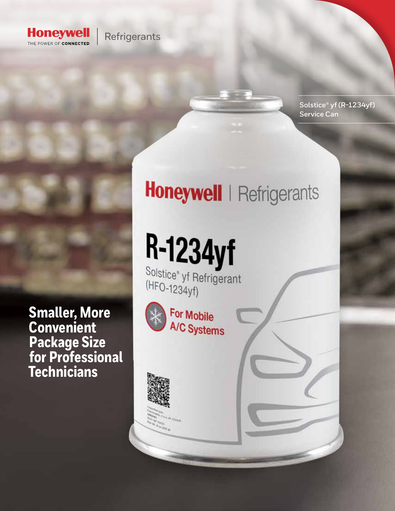

### Refrigerants

Solstice<sup>®</sup> yf (R-1234yf) **Service Can** 

Honeywell | Refrigerants

R-1234yf Solstice<sup>®</sup> yf Refrigerant

(HFO-1234yf)



**Titalia** 

**Smaller, More<br>Convenient Package Size<br>for Professional Technicians**